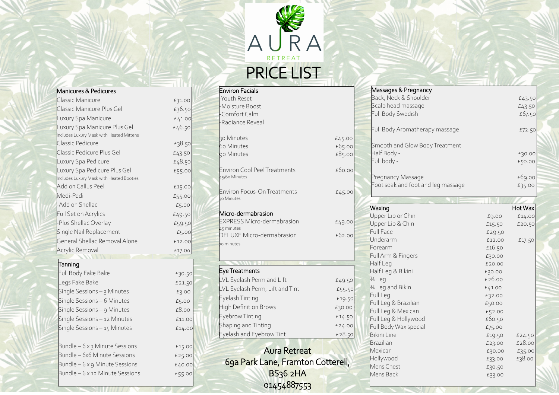

| Waxing                |        | Hot Wax |  |
|-----------------------|--------|---------|--|
| Upper Lip or Chin     | £9.00  | £14.00  |  |
| Upper Lip & Chin      | £15.50 | £20.50  |  |
| Full Face             | £29.50 |         |  |
| Underarm              | £12.00 | £17.50  |  |
| Forearm               | £16.50 |         |  |
| Full Arm & Fingers    | £30.00 |         |  |
| Half Leg              | £20.00 |         |  |
| Half Leg & Bikini     | £30.00 |         |  |
| 34 Leg                | £26.00 |         |  |
| 34 Leg and Bikini     | £41.00 |         |  |
| Full Leg              | £32.00 |         |  |
| Full Leg & Brazilian  | £50.00 |         |  |
| Full Leg & Mexican    | £52.00 |         |  |
| Full Leg & Hollywood  | £60.50 |         |  |
| Full Body Wax special | £75.00 |         |  |
| <b>Bikini Line</b>    | £19.50 | £24.50  |  |
| <b>Brazilian</b>      | £23.00 | £28.00  |  |
| Mexican               | £30.00 | £35.00  |  |
| Hollywood             | £33.00 | £38.00  |  |
|                       |        |         |  |

| <b>Manicures &amp; Pedicures</b>                |        |  |
|-------------------------------------------------|--------|--|
| Classic Manicure                                | £31.00 |  |
| <b>Classic Manicure Plus Gel</b>                | £36.50 |  |
| Luxury Spa Manicure                             | £41.00 |  |
| Luxury Spa Manicure Plus Gel                    | £46.50 |  |
| Includes Luxury Mask with Heated Mittens        |        |  |
| <b>Classic Pedicure</b>                         | £38.50 |  |
| Classic Pedicure Plus Gel                       | £43.50 |  |
| Luxury Spa Pedicure                             | £48.50 |  |
| Luxury Spa Pedicure Plus Gel                    | £55.00 |  |
| <b>Includes Luxury Mask with Heated Booties</b> |        |  |
| Add on Callus Peel                              | £15.00 |  |
| Medi-Pedi                                       | £55.00 |  |
| -Add on Shellac                                 | £5.00  |  |
| Full Set on Acrylics                            | £49.50 |  |
| -Plus Shellac Overlay                           | £59.50 |  |
| Single Nail Replacement                         | £5.00  |  |
| General Shellac Removal Alone                   | £12.00 |  |
| Acrylic Removal                                 | £17.00 |  |
|                                                 |        |  |

| <b>Environ Facials</b>              |        | Massages & Pregnancy               |        |         |
|-------------------------------------|--------|------------------------------------|--------|---------|
| -Youth Reset                        |        | Back, Neck & Shoulder              |        | £43.50  |
| -Moisture Boost                     |        | Scalp head massage                 |        | £43.50  |
| Comfort Calm                        |        | Full Body Swedish                  |        | £67.50  |
| -Radiance Reveal                    |        |                                    |        |         |
|                                     |        | Full Body Aromatherapy massage     |        | £72.50  |
| 30 Minutes                          | E45.00 |                                    |        |         |
| 60 Minutes                          | E65.00 | Smooth and Glow Body Treatment     |        |         |
| 90 Minutes                          | E85.00 | Half Body -                        |        | £30.00  |
|                                     |        | Full body -                        |        | £50.00  |
| <b>Environ Cool Peel Treatments</b> | £60.00 |                                    |        |         |
| 45/60 Minutes                       |        | Pregnancy Massage                  |        | £69.00  |
| Environ Focus-On Treatments         |        | Foot soak and foot and leg massage |        | £35.00  |
| 30 Minutes                          | E45.00 |                                    |        |         |
|                                     |        | Waxing                             |        | Hot Wax |
| Micro-dermabrasion                  |        | Upper Lip or Chin                  | £9.00  | £14.00  |
| <b>EXPRESS Micro-dermabrasion</b>   | E49.00 | Upper Lip & Chin                   | £15.50 | £20.50  |
| 45 minutes                          |        | Full Face                          | £29.50 |         |
| <b>DELUXE Micro-dermabrasion</b>    | E62.00 | Underarm                           | £12.00 | £17.50  |
| yo minutes                          |        | Forearm                            | £16.50 |         |
|                                     |        | Full Arm & Fingers                 | £30.00 |         |
|                                     |        | Half Leg                           | £20.00 |         |
| Eye Treatments                      |        | Half Leg & Bikini                  | £30.00 |         |
| LVL Eyelash Perm and Lift           | £49.50 | $\frac{3}{4}$ Leg                  | £26.00 |         |
| LVL Eyelash Perm, Lift and Tint     | £55.50 | 34 Leg and Bikini                  | £41.00 |         |
| Eyelash Tinting                     | E19.50 | Full Leg                           | £32.00 |         |
| High Definition Brows               | £30.00 | Full Leg & Brazilian               | £50.00 |         |
|                                     |        | Full Leg & Mexican                 | £52.00 |         |
| Eyebrow Tinting                     | £14.50 | Full Leg & Hollywood               | £60.50 |         |
| Shaping and Tinting                 | E24.00 | Full Body Wax special              | £75.00 |         |
| Eyelash and Eyebrow Tint            | £28.50 | <b>Bikini Line</b>                 | £19.50 | £24.50  |
|                                     |        | Brazilian                          | £23.00 | £28.00  |
| <b>Aura Retreat</b>                 |        | Mexican                            | £30.00 | £35.00  |
| 69a Park Lane, Framton Cotterell,   |        | Hollywood                          | £33.00 | £38.00  |
|                                     |        | Mens Chest                         | £30.50 |         |
| <b>BS36 2HA</b>                     |        | Mens Back                          | £33.00 |         |

01454887553

| Massages & Pregnancy  |        |
|-----------------------|--------|
| Back, Neck & Shoulder | £43.50 |

|   |     | , |
|---|-----|---|
|   | der |   |
|   |     |   |
|   |     |   |
| י |     |   |
|   |     |   |

## £30.00 £50.00

| Tanning                              |        |
|--------------------------------------|--------|
| Full Body Fake Bake                  | £30.50 |
| Legs Fake Bake                       | £21.50 |
| Single Sessions - 3 Minutes          | £3.00  |
| Single Sessions - 6 Minutes          | £5.00  |
| Single Sessions - 9 Minutes          | £8.00  |
| Single Sessions - 12 Minutes         | £11.00 |
| Single Sessions - 15 Minutes         | £14.00 |
|                                      |        |
| Bundle $-6 \times 3$ Minute Sessions | £15.00 |
| Bundle - 6x6 Minute Sessions         | £25.00 |
| Bundle $-6 \times$ 9 Minute Sessions | £40.00 |
| Bundle - 6 x 12 Minute Sessions      | £55.00 |